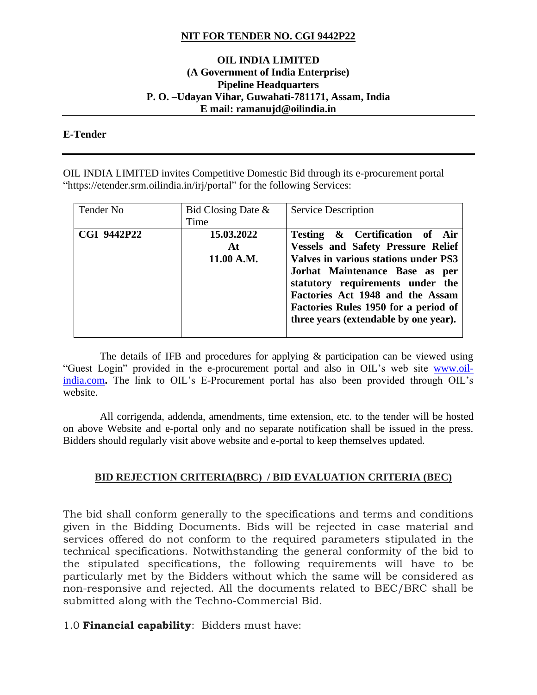### **NIT FOR TENDER NO. CGI 9442P22**

#### **OIL INDIA LIMITED (A Government of India Enterprise) Pipeline Headquarters P. O. –Udayan Vihar, Guwahati-781171, Assam, India E mail: ramanujd@oilindia.in**

#### **E-Tender**

OIL INDIA LIMITED invites Competitive Domestic Bid through its e-procurement portal "https://etender.srm.oilindia.in/irj/portal" for the following Services:

| Tender No          | Bid Closing Date $\&$<br>Time  | <b>Service Description</b>                                                                                                                                                                                                                                                                                     |
|--------------------|--------------------------------|----------------------------------------------------------------------------------------------------------------------------------------------------------------------------------------------------------------------------------------------------------------------------------------------------------------|
| <b>CGI 9442P22</b> | 15.03.2022<br>At<br>11.00 A.M. | Testing & Certification of Air<br><b>Vessels and Safety Pressure Relief</b><br>Valves in various stations under PS3<br>Jorhat Maintenance Base as per<br>statutory requirements under the<br>Factories Act 1948 and the Assam<br>Factories Rules 1950 for a period of<br>three years (extendable by one year). |

 The details of IFB and procedures for applying & participation can be viewed using "Guest Login" provided in the e-procurement portal and also in OIL's web site [www.oil](http://www.oil-india.com/)[india.com](http://www.oil-india.com/). The link to OIL's E-Procurement portal has also been provided through OIL's website.

 All corrigenda, addenda, amendments, time extension, etc. to the tender will be hosted on above Website and e-portal only and no separate notification shall be issued in the press. Bidders should regularly visit above website and e-portal to keep themselves updated.

#### **BID REJECTION CRITERIA(BRC) / BID EVALUATION CRITERIA (BEC)**

The bid shall conform generally to the specifications and terms and conditions given in the Bidding Documents. Bids will be rejected in case material and services offered do not conform to the required parameters stipulated in the technical specifications. Notwithstanding the general conformity of the bid to the stipulated specifications, the following requirements will have to be particularly met by the Bidders without which the same will be considered as non-responsive and rejected. All the documents related to BEC/BRC shall be submitted along with the Techno-Commercial Bid.

#### 1.0 **Financial capability**: Bidders must have: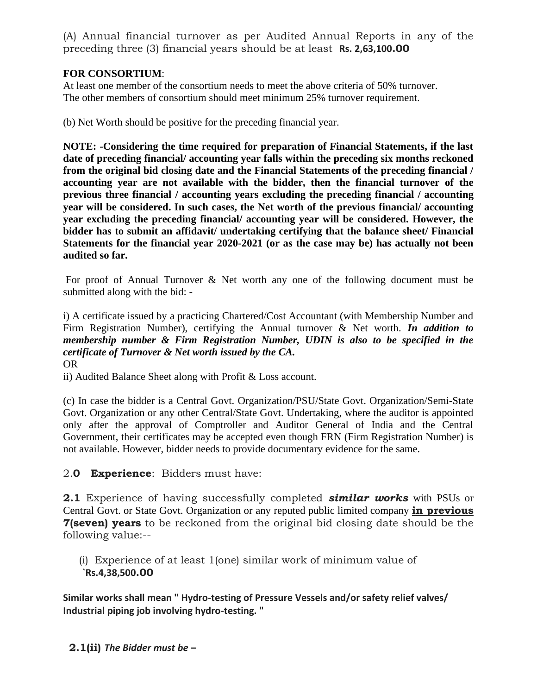(A) Annual financial turnover as per Audited Annual Reports in any of the preceding three (3) financial years should be at least **Rs. 2,63,100.00**

## **FOR CONSORTIUM**:

At least one member of the consortium needs to meet the above criteria of 50% turnover. The other members of consortium should meet minimum 25% turnover requirement.

(b) Net Worth should be positive for the preceding financial year.

**NOTE: -Considering the time required for preparation of Financial Statements, if the last date of preceding financial/ accounting year falls within the preceding six months reckoned from the original bid closing date and the Financial Statements of the preceding financial / accounting year are not available with the bidder, then the financial turnover of the previous three financial / accounting years excluding the preceding financial / accounting year will be considered. In such cases, the Net worth of the previous financial/ accounting year excluding the preceding financial/ accounting year will be considered. However, the bidder has to submit an affidavit/ undertaking certifying that the balance sheet/ Financial Statements for the financial year 2020-2021 (or as the case may be) has actually not been audited so far.**

For proof of Annual Turnover & Net worth any one of the following document must be submitted along with the bid: -

i) A certificate issued by a practicing Chartered/Cost Accountant (with Membership Number and Firm Registration Number), certifying the Annual turnover & Net worth. *In addition to membership number & Firm Registration Number, UDIN is also to be specified in the certificate of Turnover & Net worth issued by the CA.* OR

ii) Audited Balance Sheet along with Profit & Loss account.

(c) In case the bidder is a Central Govt. Organization/PSU/State Govt. Organization/Semi-State Govt. Organization or any other Central/State Govt. Undertaking, where the auditor is appointed only after the approval of Comptroller and Auditor General of India and the Central Government, their certificates may be accepted even though FRN (Firm Registration Number) is not available. However, bidder needs to provide documentary evidence for the same.

2.**0 Experience**: Bidders must have:

**2.1** Experience of having successfully completed *similar works* with PSUs or Central Govt. or State Govt. Organization or any reputed public limited company **in previous 7(seven) years** to be reckoned from the original bid closing date should be the following value:--

(i) Experience of at least 1(one) similar work of minimum value of **`Rs.4,38,500.00**

**Similar works shall mean " Hydro-testing of Pressure Vessels and/or safety relief valves/ Industrial piping job involving hydro-testing. "**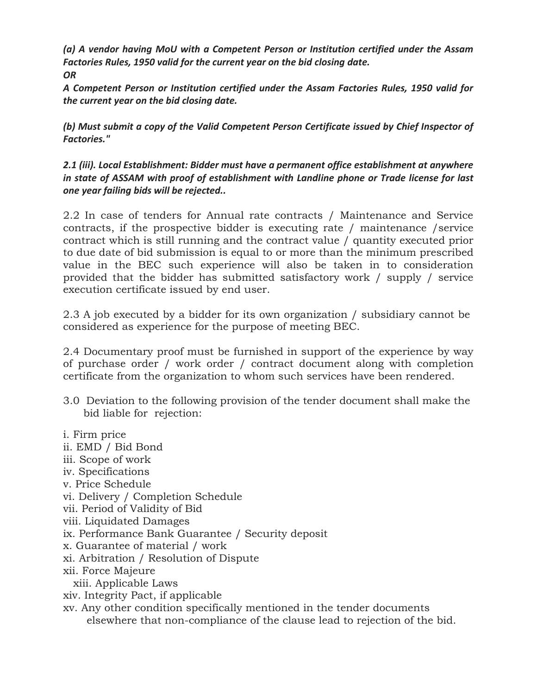*(a) A vendor having MoU with a Competent Person or Institution certified under the Assam Factories Rules, 1950 valid for the current year on the bid closing date. OR*

*A Competent Person or Institution certified under the Assam Factories Rules, 1950 valid for the current year on the bid closing date.*

*(b) Must submit a copy of the Valid Competent Person Certificate issued by Chief Inspector of Factories."*

*2.1 (iii). Local Establishment: Bidder must have a permanent office establishment at anywhere in state of ASSAM with proof of establishment with Landline phone or Trade license for last one year failing bids will be rejected..*

2.2 In case of tenders for Annual rate contracts / Maintenance and Service contracts, if the prospective bidder is executing rate / maintenance /service contract which is still running and the contract value / quantity executed prior to due date of bid submission is equal to or more than the minimum prescribed value in the BEC such experience will also be taken in to consideration provided that the bidder has submitted satisfactory work / supply / service execution certificate issued by end user.

2.3 A job executed by a bidder for its own organization / subsidiary cannot be considered as experience for the purpose of meeting BEC.

2.4 Documentary proof must be furnished in support of the experience by way of purchase order / work order / contract document along with completion certificate from the organization to whom such services have been rendered.

- 3.0 Deviation to the following provision of the tender document shall make the bid liable for rejection:
- i. Firm price ii. EMD / Bid Bond iii. Scope of work iv. Specifications v. Price Schedule vi. Delivery / Completion Schedule vii. Period of Validity of Bid viii. Liquidated Damages ix. Performance Bank Guarantee / Security deposit x. Guarantee of material / work xi. Arbitration / Resolution of Dispute xii. Force Majeure xiii. Applicable Laws xiv. Integrity Pact, if applicable xv. Any other condition specifically mentioned in the tender documents elsewhere that non-compliance of the clause lead to rejection of the bid.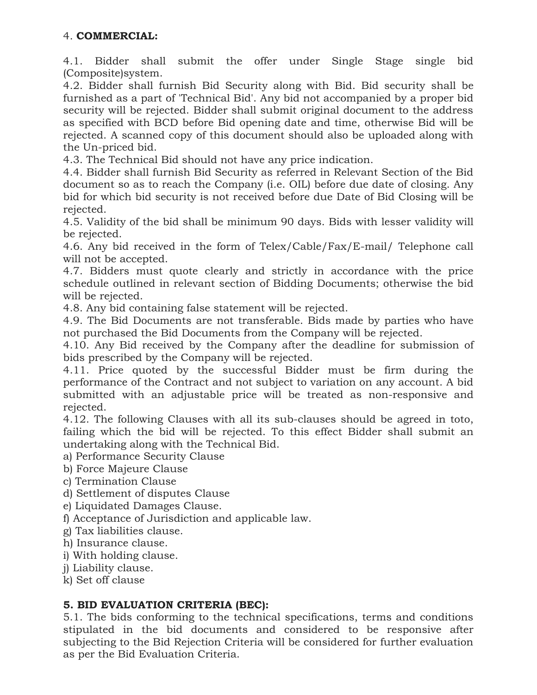# 4. **COMMERCIAL:**

4.1. Bidder shall submit the offer under Single Stage single bid (Composite)system.

4.2. Bidder shall furnish Bid Security along with Bid. Bid security shall be furnished as a part of 'Technical Bid'. Any bid not accompanied by a proper bid security will be rejected. Bidder shall submit original document to the address as specified with BCD before Bid opening date and time, otherwise Bid will be rejected. A scanned copy of this document should also be uploaded along with the Un-priced bid.

4.3. The Technical Bid should not have any price indication.

4.4. Bidder shall furnish Bid Security as referred in Relevant Section of the Bid document so as to reach the Company (i.e. OIL) before due date of closing. Any bid for which bid security is not received before due Date of Bid Closing will be rejected.

4.5. Validity of the bid shall be minimum 90 days. Bids with lesser validity will be rejected.

4.6. Any bid received in the form of Telex/Cable/Fax/E-mail/ Telephone call will not be accepted.

4.7. Bidders must quote clearly and strictly in accordance with the price schedule outlined in relevant section of Bidding Documents; otherwise the bid will be rejected.

4.8. Any bid containing false statement will be rejected.

4.9. The Bid Documents are not transferable. Bids made by parties who have not purchased the Bid Documents from the Company will be rejected.

4.10. Any Bid received by the Company after the deadline for submission of bids prescribed by the Company will be rejected.

4.11. Price quoted by the successful Bidder must be firm during the performance of the Contract and not subject to variation on any account. A bid submitted with an adjustable price will be treated as non-responsive and rejected.

4.12. The following Clauses with all its sub-clauses should be agreed in toto, failing which the bid will be rejected. To this effect Bidder shall submit an undertaking along with the Technical Bid.

- a) Performance Security Clause
- b) Force Majeure Clause
- c) Termination Clause
- d) Settlement of disputes Clause
- e) Liquidated Damages Clause.
- f) Acceptance of Jurisdiction and applicable law.
- g) Tax liabilities clause.
- h) Insurance clause.
- i) With holding clause.
- j) Liability clause.
- k) Set off clause

## **5. BID EVALUATION CRITERIA (BEC):**

5.1. The bids conforming to the technical specifications, terms and conditions stipulated in the bid documents and considered to be responsive after subjecting to the Bid Rejection Criteria will be considered for further evaluation as per the Bid Evaluation Criteria.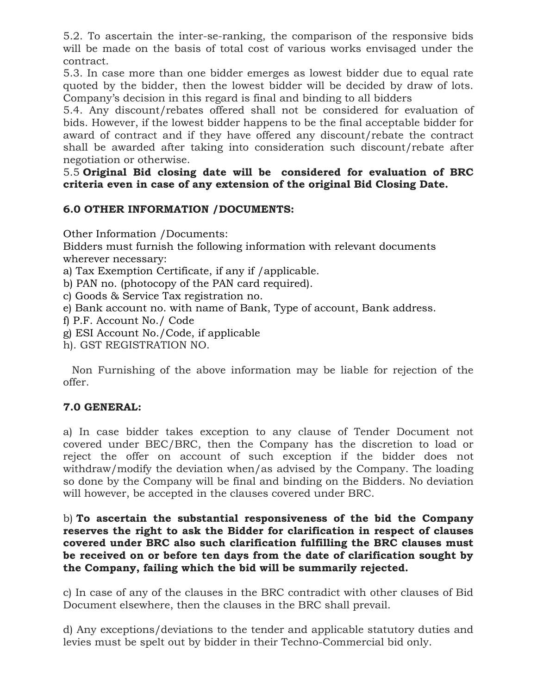5.2. To ascertain the inter-se-ranking, the comparison of the responsive bids will be made on the basis of total cost of various works envisaged under the contract.

5.3. In case more than one bidder emerges as lowest bidder due to equal rate quoted by the bidder, then the lowest bidder will be decided by draw of lots. Company's decision in this regard is final and binding to all bidders

5.4. Any discount/rebates offered shall not be considered for evaluation of bids. However, if the lowest bidder happens to be the final acceptable bidder for award of contract and if they have offered any discount/rebate the contract shall be awarded after taking into consideration such discount/rebate after negotiation or otherwise.

### 5.5 **Original Bid closing date will be considered for evaluation of BRC criteria even in case of any extension of the original Bid Closing Date.**

## **6.0 OTHER INFORMATION /DOCUMENTS:**

Other Information /Documents:

Bidders must furnish the following information with relevant documents wherever necessary:

a) Tax Exemption Certificate, if any if /applicable.

b) PAN no. (photocopy of the PAN card required).

c) Goods & Service Tax registration no.

e) Bank account no. with name of Bank, Type of account, Bank address.

f) P.F. Account No./ Code

g) ESI Account No./Code, if applicable

h). GST REGISTRATION NO.

Non Furnishing of the above information may be liable for rejection of the offer.

## **7.0 GENERAL:**

a) In case bidder takes exception to any clause of Tender Document not covered under BEC/BRC, then the Company has the discretion to load or reject the offer on account of such exception if the bidder does not withdraw/modify the deviation when/as advised by the Company. The loading so done by the Company will be final and binding on the Bidders. No deviation will however, be accepted in the clauses covered under BRC.

b) **To ascertain the substantial responsiveness of the bid the Company reserves the right to ask the Bidder for clarification in respect of clauses covered under BRC also such clarification fulfilling the BRC clauses must be received on or before ten days from the date of clarification sought by the Company, failing which the bid will be summarily rejected.**

c) In case of any of the clauses in the BRC contradict with other clauses of Bid Document elsewhere, then the clauses in the BRC shall prevail.

d) Any exceptions/deviations to the tender and applicable statutory duties and levies must be spelt out by bidder in their Techno-Commercial bid only.